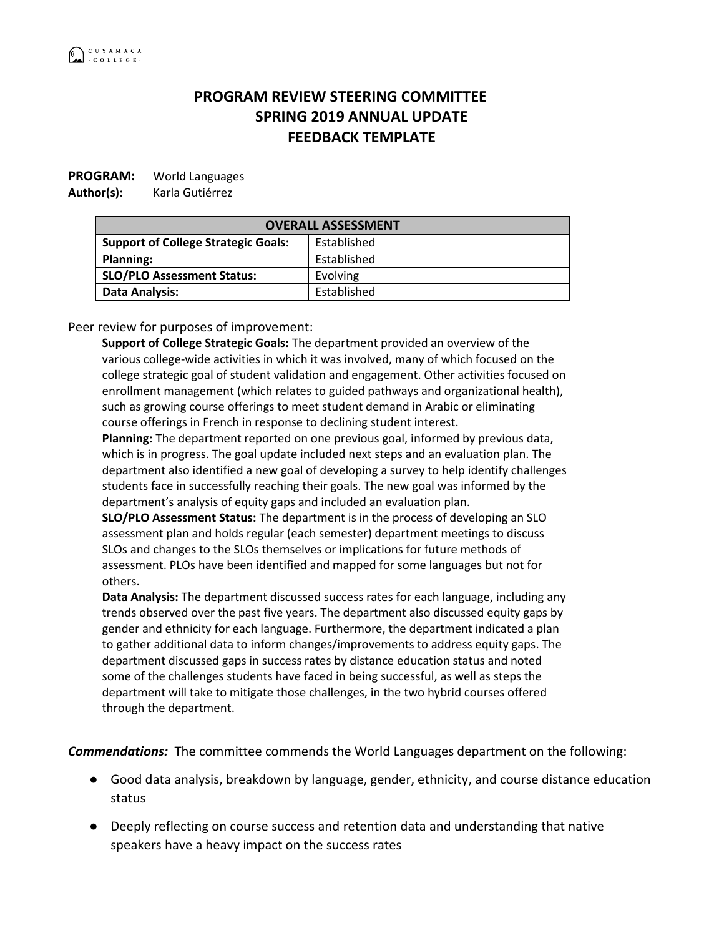## **PROGRAM REVIEW STEERING COMMITTEE SPRING 2019 ANNUAL UPDATE FEEDBACK TEMPLATE**

## **PROGRAM:** World Languages

**Author(s):** Karla Gutiérrez

**OVERALL ASSESSMENT Support of College Strategic Goals:** | Established Planning: **Planning: Established SLO/PLO Assessment Status:** Evolving **Data Analysis:** Established

Peer review for purposes of improvement:

**Support of College Strategic Goals:** The department provided an overview of the various college-wide activities in which it was involved, many of which focused on the college strategic goal of student validation and engagement. Other activities focused on enrollment management (which relates to guided pathways and organizational health), such as growing course offerings to meet student demand in Arabic or eliminating course offerings in French in response to declining student interest.

**Planning:** The department reported on one previous goal, informed by previous data, which is in progress. The goal update included next steps and an evaluation plan. The department also identified a new goal of developing a survey to help identify challenges students face in successfully reaching their goals. The new goal was informed by the department's analysis of equity gaps and included an evaluation plan.

**SLO/PLO Assessment Status:** The department is in the process of developing an SLO assessment plan and holds regular (each semester) department meetings to discuss SLOs and changes to the SLOs themselves or implications for future methods of assessment. PLOs have been identified and mapped for some languages but not for others.

**Data Analysis:** The department discussed success rates for each language, including any trends observed over the past five years. The department also discussed equity gaps by gender and ethnicity for each language. Furthermore, the department indicated a plan to gather additional data to inform changes/improvements to address equity gaps. The department discussed gaps in success rates by distance education status and noted some of the challenges students have faced in being successful, as well as steps the department will take to mitigate those challenges, in the two hybrid courses offered through the department.

*Commendations:* The committee commends the World Languages department on the following:

- Good data analysis, breakdown by language, gender, ethnicity, and course distance education status
- Deeply reflecting on course success and retention data and understanding that native speakers have a heavy impact on the success rates